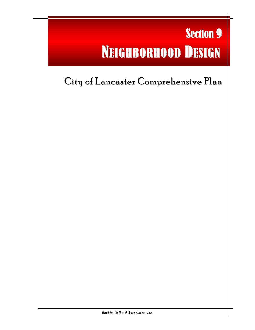# **Section 9** NEIGHBORHOOD DESIGN

l

## City of Lancaster Comprehensive Plan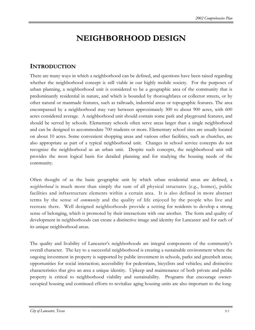### **NEIGHBORHOOD DESIGN**

#### **INTRODUCTION**

There are many ways in which a neighborhood can be defined, and questions have been raised regarding whether the neighborhood concept is still viable in our highly mobile society. For the purposes of urban planning, a neighborhood unit is considered to be a geographic area of the community that is predominantly residential in nature, and which is bounded by thoroughfares or collector streets, or by other natural or manmade features, such as railroads, industrial areas or topographic features. The area encompassed by a neighborhood may vary between approximately 300 to about 900 acres, with 600 acres considered average. A neighborhood unit should contain some park and playground features, and should be served by schools. Elementary schools often serve areas larger than a single neighborhood and can be designed to accommodate 700 students or more. Elementary school sites are usually located on about 10 acres. Some convenient shopping areas and various other facilities, such as churches, are also appropriate as part of a typical neighborhood unit. Changes in school service concepts do not recognize the neighborhood as an urban unit. Despite such concepts, the neighborhood unit still provides the most logical basis for detailed planning and for studying the housing needs of the community.

Often thought of as the basic geographic unit by which urban residential areas are defined, a *neighborhood* is much more than simply the sum of all physical structures (e.g., homes), public facilities and infrastructure elements within a certain area. It is also defined in more abstract terms by the sense of *community* and the quality of life enjoyed by the people who live and recreate there. Well designed neighborhoods provide a setting for residents to develop a strong sense of belonging, which is promoted by their interactions with one another. The form and quality of development in neighborhoods can create a distinctive image and identity for Lancaster and for each of its unique neighborhood areas.

The quality and livability of Lancaster's neighborhoods are integral components of the community's overall character. The key to a successful neighborhood is creating a sustainable environment where the ongoing investment in property is supported by public investment in schools, parks and greenbelt areas; opportunities for social interaction; accessibility for pedestrians, bicyclists and vehicles; and distinctive characteristics that give an area a unique identity. Upkeep and maintenance of both private and public property is critical to neighborhood viability and sustainability. Programs that encourage owneroccupied housing and continued efforts to revitalize aging housing units are also important to the long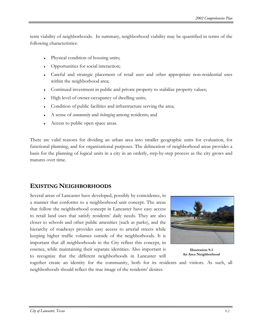term viability of neighborhoods. In summary, neighborhood viability may be quantified in terms of the following characteristics:

- Physical condition of housing units;
- Opportunities for social interaction;
- Careful and strategic placement of retail uses and other appropriate non-residential uses within the neighborhood area;
- Continued investment in public and private property to stabilize property values;
- High level of owner-occupancy of dwelling units;
- Condition of public facilities and infrastructure serving the area;
- ♦ A sense of *community* and *belonging* among residents; and
- Access to public open space areas.

There are valid reasons for dividing an urban area into smaller geographic units for evaluation, for functional planning, and for organizational purposes. The delineation of neighborhood areas provides a basis for the planning of logical units in a city in an orderly, step-by-step process as the city grows and matures over time.

#### **EXISTING NEIGHBORHOODS**

Several areas of Lancaster have developed, possibly by coincidence, in a manner that conforms to a neighborhood unit concept. The areas that follow the neighborhood concept in Lancaster have easy access to retail land uses that satisfy residents' daily needs. They are also closer to schools and other public amenities (such as parks), and the hierarchy of roadways provides easy access to arterial streets while keeping higher traffic volumes outside of the neighborhoods. It is important that all neighborhoods in the City reflect this concept, in essence, while maintaining their separate identities. Also important is to recognize that the different neighborhoods in Lancaster will



**Illustration 9-1 An Area Neighborhood** 

together create an identity for the community, both for its residents and visitors. As such, all neighborhoods should reflect the true image of the residents' desires.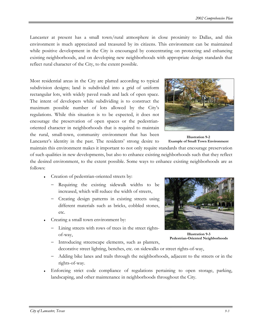Lancaster at present has a small town/rural atmosphere in close proximity to Dallas, and this environment is much appreciated and treasured by its citizens. This environment can be maintained while positive development in the City is encouraged by concentrating on protecting and enhancing existing neighborhoods, and on developing new neighborhoods with appropriate design standards that reflect rural character of the City, to the extent possible.

Most residential areas in the City are platted according to typical subdivision designs; land is subdivided into a grid of uniform rectangular lots, with widely paved roads and lack of open space. The intent of developers while subdividing is to construct the maximum possible number of lots allowed by the City's regulations. While this situation is to be expected, it does not encourage the preservation of open spaces or the pedestrianoriented character in neighborhoods that is required to maintain the rural, small-town, community environment that has been Lancaster's identity in the past. The residents' strong desire to



**Illustration 9-2 Example of Small Town Environment** 

maintain this environment makes it important to not only require standards that encourage preservation of such qualities in new developments, but also to enhance existing neighborhoods such that they reflect the desired environment, to the extent possible. Some ways to enhance existing neighborhoods are as follows:

- ♦ Creation of pedestrian-oriented streets by:
	- − Requiring the existing sidewalk widths to be increased, which will reduce the width of streets,
	- − Creating design patterns in existing streets using different materials such as bricks, cobbled stones, etc.
- Creating a small town environment by:
	- − Lining streets with rows of trees in the street rightsof-way,



**Illustration 9-3 Pedestrian-Oriented Neighborhoods** 

- − Introducing streetscape elements, such as planters, decorative street lighting, benches, etc. on sidewalks or street rights-of-way,
- − Adding bike lanes and trails through the neighborhoods, adjacent to the streets or in the rights-of-way.
- Enforcing strict code compliance of regulations pertaining to open storage, parking, landscaping, and other maintenance in neighborhoods throughout the City.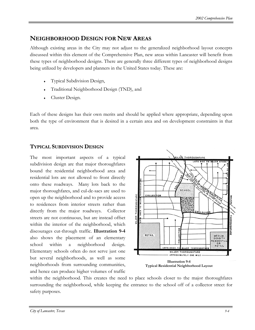#### **NEIGHBORHOOD DESIGN FOR NEW AREAS**

Although existing areas in the City may not adjust to the generalized neighborhood layout concepts discussed within this element of the Comprehensive Plan, new areas within Lancaster will benefit from these types of neighborhood designs. There are generally three different types of neighborhood designs being utilized by developers and planners in the United States today. These are:

- Typical Subdivision Design,
- Traditional Neighborhood Design (TND), and
- Cluster Design.

Each of these designs has their own merits and should be applied where appropriate, depending upon both the type of environment that is desired in a certain area and on development constraints in that area.

#### **TYPICAL SUBDIVISION DESIGN**

The most important aspects of a typical subdivision design are that major thoroughfares bound the residential neighborhood area and residential lots are not allowed to front directly onto these roadways. Many lots back to the major thoroughfares, and cul-de-sacs are used to open up the neighborhood and to provide access to residences from interior streets rather than directly from the major roadways. Collector streets are not continuous, but are instead offset within the interior of the neighborhood, which discourages cut-through traffic. **Illustration 9-4** also shows the placement of an elementary school within a neighborhood design. Elementary schools often do not serve just one but several neighborhoods, as well as some neighborhoods from surrounding communities, and hence can produce higher volumes of traffic



**Typical Residential Neighborhood Layout**

within the neighborhood. This creates the need to place schools closer to the major thoroughfares surrounding the neighborhood, while keeping the entrance to the school off of a collector street for safety purposes.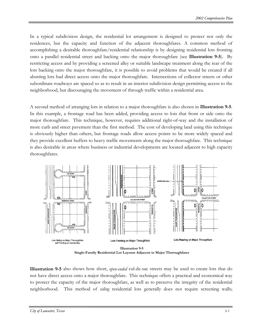In a typical subdivision design, the residential lot arrangement is designed to protect not only the residences, but the capacity and function of the adjacent thoroughfares. A common method of accomplishing a desirable thoroughfare/residential relationship is by designing residential lots fronting onto a parallel residential street and backing onto the major thoroughfare (see **Illustration 9-5**). By restricting access and by providing a screened alley or suitable landscape treatment along the rear of the lots backing onto the major thoroughfare, it is possible to avoid problems that would be created if all abutting lots had direct access onto the major thoroughfare. Intersections of collector streets or other subordinate roadways are spaced so as to result in an interior subdivision design permitting access to the neighborhood, but discouraging the movement of through traffic within a residential area.

A second method of arranging lots in relation to a major thoroughfare is also shown in **Illustration 9-5**. In this example, a frontage road has been added, providing access to lots that front or side onto the major thoroughfare. This technique, however, requires additional right-of-way and the installation of more curb and street pavement than the first method. The cost of developing land using this technique is obviously higher than others, but frontage roads allow access points to be more widely spaced and they provide excellent buffers to heavy traffic movements along the major thoroughfare. This technique is also desirable in areas where business or industrial developments are located adjacent to high capacity thoroughfares.



**Illustration 9-5** also shows how short, *open-ended* cul-de-sac streets may be used to create lots that do not have direct access onto a major thoroughfare. This technique offers a practical and economical way to protect the capacity of the major thoroughfare, as well as to preserve the integrity of the residential neighborhood. This method of *siding* residential lots generally does not require screening walls;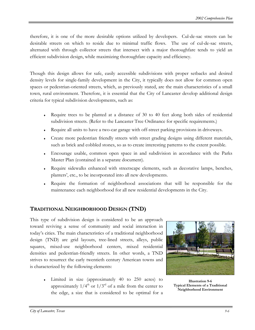therefore, it is one of the more desirable options utilized by developers. Cul-de-sac streets can be desirable streets on which to reside due to minimal traffic flows. The use of cul-de-sac streets, alternated with through collector streets that intersect with a major thoroughfare tends to yield an efficient subdivision design, while maximizing thoroughfare capacity and efficiency.

Though this design allows for safe, easily accessible subdivisions with proper setbacks and desired density levels for single-family development in the City, it typically does not allow for common open spaces or pedestrian-oriented streets, which, as previously stated, are the main characteristics of a small town, rural environment. Therefore, it is essential that the City of Lancaster develop additional design criteria for typical subdivision developments, such as:

- ♦ Require trees to be planted at a distance of 30 to 40 feet along both sides of residential subdivision streets. (Refer to the Lancaster Tree Ordinance for specific requirements.)
- Require all units to have a two-car garage with off-street parking provisions in driveways.
- Create more pedestrian friendly streets with street grading designs using different materials, such as brick and cobbled stones, so as to create interesting patterns to the extent possible.
- ♦ Encourage usable, common open space in and subdivision in accordance with the Parks Master Plan (contained in a separate document).
- ♦ Require sidewalks enhanced with streetscape elements, such as decorative lamps, benches, planters', etc., to be incorporated into all new developments.
- Require the formation of neighborhood associations that will be responsible for the maintenance each neighborhood for all new residential developments in the City.

#### **TRADITIONAL NEIGHBORHOOD DESIGN (TND)**

This type of subdivision design is considered to be an approach toward reviving a sense of community and social interaction in today's cities. The main characteristics of a traditional neighborhood design (TND) are grid layouts, tree-lined streets, alleys, public squares, mixed-use neighborhood centers, mixed residential densities and pedestrian-friendly streets. In other words, a TND strives to resurrect the early twentieth century American towns and is characterized by the following elements:

> ♦ Limited in size (approximately 40 to 250 acres) to approximately  $1/4^{th}$  or  $1/3^{rd}$  of a mile from the center to the edge, a size that is considered to be optimal for a



**Illustration 9-6 Typical Elements of a Traditional Neighborhood Environment**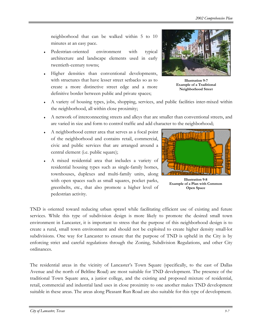neighborhood that can be walked within 5 to 10 minutes at an easy pace.

- Pedestrian-oriented environment with typical architecture and landscape elements used in early twentieth-century towns;
- Higher densities than conventional developments, with structures that have lesser street setbacks so as to create a more distinctive street edge and a more definitive border between public and private spaces;



**Illustration 9-7 Example of a Traditional Neighborhood Street** 

- A variety of housing types, jobs, shopping, services, and public facilities inter-mixed within the neighborhood, all within close proximity;
- A network of interconnecting streets and alleys that are smaller than conventional streets, and are varied in size and form to control traffic and add character to the neighborhood;
- A neighborhood center area that serves as a focal point of the neighborhood and contains retail, commercial, civic and public services that are arranged around a central element (i.e. public square);
- A mixed residential area that includes a variety of residential housing types such as single-family homes, townhouses, duplexes and multi-family units, along with open spaces such as small squares, pocket parks, greenbelts, etc., that also promote a higher level of pedestrian activity.



**Illustration 9-8 Example of a Plan with Common Open Space** 

TND is oriented toward reducing urban sprawl while facilitating efficient use of existing and future services. While this type of subdivision design is more likely to promote the desired small town environment in Lancaster, it is important to stress that the purpose of this neighborhood design is to create a rural, small town environment and should not be exploited to create higher density small-lot subdivisions. One way for Lancaster to ensure that the purpose of TND is upheld in the City is by enforcing strict and careful regulations through the Zoning, Subdivision Regulations, and other City ordinances.

The residential areas in the vicinity of Lancaster's Town Square (specifically, to the east of Dallas Avenue and the north of Beltline Road) are most suitable for TND development. The presence of the traditional Town Square area, a junior college, and the existing and proposed mixture of residential, retail, commercial and industrial land uses in close proximity to one another makes TND development suitable in these areas. The areas along Pleasant Run Road are also suitable for this type of development.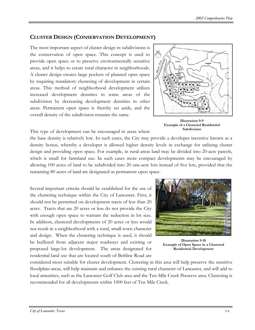#### **CLUSTER DESIGN (CONSERVATION DEVELOPMENT)**

The most important aspect of cluster design in subdivisions is the conservation of open space. This concept is used to provide open space or to preserve environmentally sensitive areas, and it helps to create rural character in neighborhoods. A cluster design creates large pockets of planned open space by requiring mandatory clustering of development in certain areas. This method of neighborhood development utilizes increased development densities in some areas of the subdivision by decreasing development densities in other areas. Permanent open space is thereby set aside, and the overall density of the subdivision remains the same.



**Illustration 9-9 Example of a Clustered Residential Subdivision**

This type of development can be encouraged in areas where

the base density is relatively low. In such cases, the City may provide a developer incentive known as a density bonus, whereby a developer is allowed higher density levels in exchange for utilizing cluster design and providing open space. For example, in rural areas land may be divided into 20-acre parcels, which is small for farmland use. In such cases more compact developments may be encouraged by allowing 100 acres of land to be subdivided into 20 one-acre lots instead of five lots, provided that the remaining 80 acres of land are designated as permanent open space.

Several important criteria should be established for the use of the clustering technique within the City of Lancaster. First, it should not be permitted on development tracts of less than 20 acres. Tracts that are 20 acres or less do not provide the City with enough open space to warrant the reduction in lot size. In addition, clustered developments of 20 acres or less would not result in a neighborhood with a rural, small-town character and design. When the clustering technique is used, it should be buffered from adjacent major roadways and existing or proposed large-lot development. The areas designated for residential land use that are located south of Beltline Road are



**Illustration 9-10 Example of Open Space in a Clustered Residential Development** 

considered most suitable for cluster development. Clustering in this area will help preserve the sensitive floodplain areas, will help maintain and enhance the existing rural character of Lancaster, and will add to local amenities, such as the Lancaster Golf Club area and the Ten Mile Creek Preserve area. Clustering is recommended for all developments within 1000 feet of Ten Mile Creek.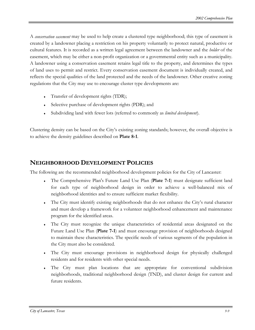A *conservation easement* may be used to help create a clustered type neighborhood; this type of easement is created by a landowner placing a restriction on his property voluntarily to protect natural, productive or cultural features. It is recorded as a written legal agreement between the landowner and the *holder* of the easement, which may be either a non-profit organization or a governmental entity such as a municipality. A landowner using a conservation easement retains legal title to the property, and determines the types of land uses to permit and restrict. Every conservation easement document is individually created, and reflects the special qualities of the land protected and the needs of the landowner. Other creative zoning regulations that the City may use to encourage cluster type developments are:

- Transfer of development rights (TDR);
- Selective purchase of development rights (PDR); and
- Subdividing land with fewer lots (referred to commonly as *limited development*).

Clustering density can be based on the City's existing zoning standards; however, the overall objective is to achieve the density guidelines described on **Plate 8-1**.

#### **NEIGHBORHOOD DEVELOPMENT POLICIES**

The following are the recommended neighborhood development policies for the City of Lancaster:

- The Comprehensive Plan's Future Land Use Plan (Plate 7-1) must designate sufficient land for each type of neighborhood design in order to achieve a well-balanced mix of neighborhood identities and to ensure sufficient market flexibility.
- The City must identify existing neighborhoods that do not enhance the City's rural character and must develop a framework for a volunteer neighborhood enhancement and maintenance program for the identified areas.
- The City must recognize the unique characteristics of residential areas designated on the Future Land Use Plan (**Plate 7-1**) and must encourage provision of neighborhoods designed to maintain these characteristics. The specific needs of various segments of the population in the City must also be considered.
- The City must encourage provisions in neighborhood design for physically challenged residents and for residents with other special needs.
- The City must plan locations that are appropriate for conventional subdivision neighborhoods, traditional neighborhood design (TND), and cluster design for current and future residents.